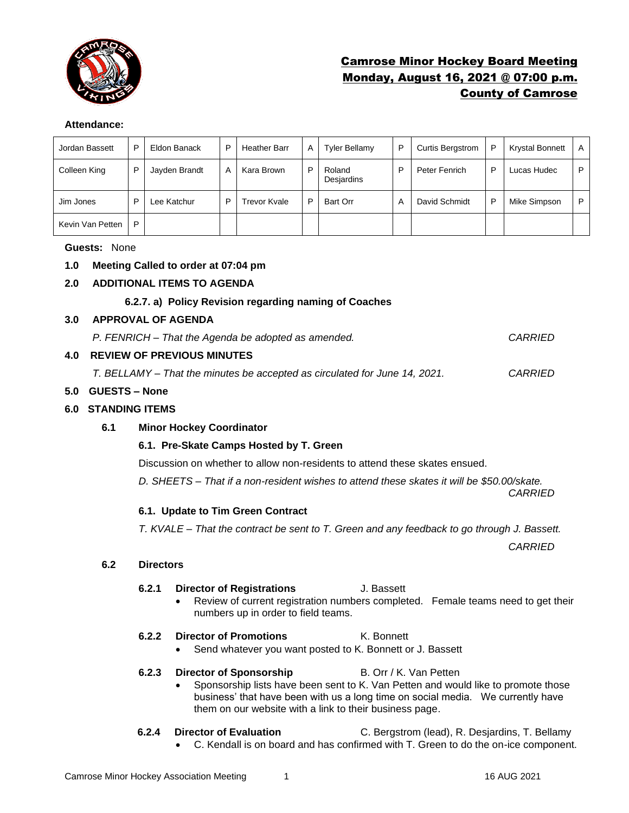

## Camrose Minor Hockey Board Meeting Monday, August 16, 2021 @ 07:00 p.m. County of Camrose

## **Attendance:**

| Jordan Bassett   | P | Eldon Banack  | P | <b>Heather Barr</b> | A | <b>Tyler Bellamy</b> | P | <b>Curtis Bergstrom</b> | P | <b>Krystal Bonnett</b> | A |
|------------------|---|---------------|---|---------------------|---|----------------------|---|-------------------------|---|------------------------|---|
| Colleen King     | P | Jayden Brandt | A | Kara Brown          | P | Roland<br>Desjardins | P | Peter Fenrich           | P | Lucas Hudec            | P |
| Jim Jones        | P | Lee Katchur   | P | Frevor Kvale        | P | <b>Bart Orr</b>      | A | David Schmidt           | P | Mike Simpson           | P |
| Kevin Van Petten | P |               |   |                     |   |                      |   |                         |   |                        |   |

#### **Guests:** None

## **1.0 Meeting Called to order at 07:04 pm**

## **2.0 ADDITIONAL ITEMS TO AGENDA**

## **6.2.7. a) Policy Revision regarding naming of Coaches**

#### **3.0 APPROVAL OF AGENDA**

*P. FENRICH – That the Agenda be adopted as amended. CARRIED*

## **4.0 REVIEW OF PREVIOUS MINUTES**

*T. BELLAMY – That the minutes be accepted as circulated for June 14, 2021. CARRIED*

## **5.0 GUESTS – None**

#### **6.0 STANDING ITEMS**

## **6.1 Minor Hockey Coordinator**

## **6.1. Pre-Skate Camps Hosted by T. Green**

Discussion on whether to allow non-residents to attend these skates ensued.

*D. SHEETS – That if a non-resident wishes to attend these skates it will be \$50.00/skate.* 

*CARRIED*

## **6.1. Update to Tim Green Contract**

*T. KVALE – That the contract be sent to T. Green and any feedback to go through J. Bassett.* 

*CARRIED* 

## **6.2 Directors**

#### **6.2.1 Director of Registrations** J. Bassett

• Review of current registration numbers completed. Female teams need to get their numbers up in order to field teams.

## **6.2.2 Director of Promotions** K. Bonnett

Send whatever you want posted to K. Bonnett or J. Bassett

## **6.2.3 Director of Sponsorship B. Orr / K. Van Petten**

• Sponsorship lists have been sent to K. Van Petten and would like to promote those business' that have been with us a long time on social media. We currently have them on our website with a link to their business page.

# **6.2.4 Director of Evaluation** C. Bergstrom (lead), R. Desjardins, T. Bellamy

• C. Kendall is on board and has confirmed with T. Green to do the on-ice component.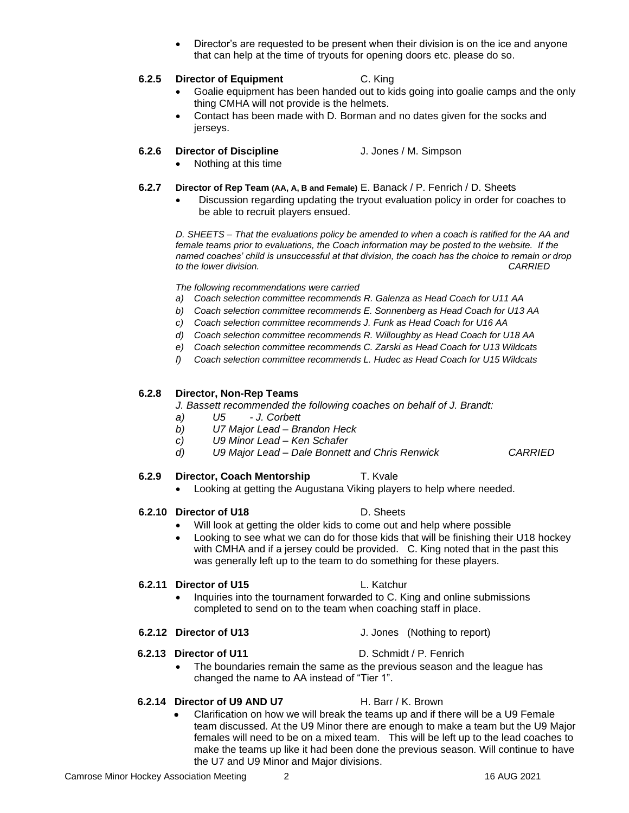- 
- Camrose Minor Hockey Association Meeting 2 2 16 AUG 2021

that can help at the time of tryouts for opening doors etc. please do so.

## **6.2.5 Director of Equipment** C. King

• Director's are requested to be present when their division is on the ice and anyone

- Goalie equipment has been handed out to kids going into goalie camps and the only thing CMHA will not provide is the helmets.
- Contact has been made with D. Borman and no dates given for the socks and jerseys.

## **6.2.6 Director of Discipline** J. Jones / M. Simpson

- Nothing at this time
- **6.2.7 Director of Rep Team (AA, A, B and Female)** E. Banack / P. Fenrich / D. Sheets
	- Discussion regarding updating the tryout evaluation policy in order for coaches to be able to recruit players ensued.

*D. SHEETS – That the evaluations policy be amended to when a coach is ratified for the AA and female teams prior to evaluations, the Coach information may be posted to the website. If the named coaches' child is unsuccessful at that division, the coach has the choice to remain or drop to the lower division. CARRIED*

*The following recommendations were carried* 

- *a) Coach selection committee recommends R. Galenza as Head Coach for U11 AA*
- *b) Coach selection committee recommends E. Sonnenberg as Head Coach for U13 AA*
- *c) Coach selection committee recommends J. Funk as Head Coach for U16 AA*
- *d) Coach selection committee recommends R. Willoughby as Head Coach for U18 AA*
- *e) Coach selection committee recommends C. Zarski as Head Coach for U13 Wildcats*
- *f) Coach selection committee recommends L. Hudec as Head Coach for U15 Wildcats*

## **6.2.8 Director, Non-Rep Teams**

*J. Bassett recommended the following coaches on behalf of J. Brandt:* 

- *a) U5 - J. Corbett*
- *b) U7 Major Lead – Brandon Heck*
- *c) U9 Minor Lead – Ken Schafer*
- *d) U9 Major Lead – Dale Bonnett and Chris Renwick CARRIED*

## **6.2.9 Director, Coach Mentorship T. Kvale**

• Looking at getting the Augustana Viking players to help where needed.

## **6.2.10 Director of U18** D. Sheets

## Will look at getting the older kids to come out and help where possible

Looking to see what we can do for those kids that will be finishing their U18 hockey with CMHA and if a jersey could be provided. C. King noted that in the past this was generally left up to the team to do something for these players.

## **6.2.11 Director of U15** L. Katchur

• Inquiries into the tournament forwarded to C. King and online submissions completed to send on to the team when coaching staff in place.

## **6.2.12 Director of U13** J. Jones (Nothing to report)

#### **6.2.13 Director of U11** D. Schmidt / P. Fenrich

• The boundaries remain the same as the previous season and the league has changed the name to AA instead of "Tier 1".

## **6.2.14 Director of U9 AND U7** H. Barr / K. Brown

- 
- Clarification on how we will break the teams up and if there will be a U9 Female team discussed. At the U9 Minor there are enough to make a team but the U9 Major females will need to be on a mixed team. This will be left up to the lead coaches to make the teams up like it had been done the previous season. Will continue to have the U7 and U9 Minor and Major divisions.
- 
-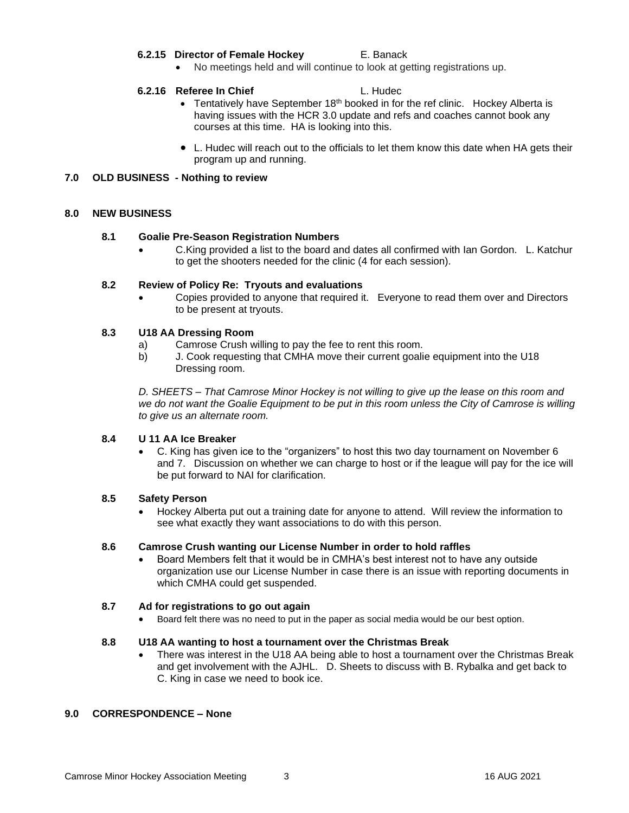#### **6.2.15 Director of Female Hockey** E. Banack

• No meetings held and will continue to look at getting registrations up.

#### **6.2.16 Referee In Chief L. Hudec**

- Tentatively have September  $18<sup>th</sup>$  booked in for the ref clinic. Hockey Alberta is having issues with the HCR 3.0 update and refs and coaches cannot book any courses at this time. HA is looking into this.
- L. Hudec will reach out to the officials to let them know this date when HA gets their program up and running.

#### **7.0 OLD BUSINESS - Nothing to review**

#### **8.0 NEW BUSINESS**

#### **8.1 Goalie Pre-Season Registration Numbers**

• C.King provided a list to the board and dates all confirmed with Ian Gordon. L. Katchur to get the shooters needed for the clinic (4 for each session).

#### **8.2 Review of Policy Re: Tryouts and evaluations**

• Copies provided to anyone that required it. Everyone to read them over and Directors to be present at tryouts.

#### **8.3 U18 AA Dressing Room**

- a) Camrose Crush willing to pay the fee to rent this room.
- b) J. Cook requesting that CMHA move their current goalie equipment into the U18 Dressing room.

*D. SHEETS – That Camrose Minor Hockey is not willing to give up the lease on this room and we do not want the Goalie Equipment to be put in this room unless the City of Camrose is willing to give us an alternate room.* 

#### **8.4 U 11 AA Ice Breaker**

• C. King has given ice to the "organizers" to host this two day tournament on November 6 and 7. Discussion on whether we can charge to host or if the league will pay for the ice will be put forward to NAI for clarification.

#### **8.5 Safety Person**

• Hockey Alberta put out a training date for anyone to attend. Will review the information to see what exactly they want associations to do with this person.

#### **8.6 Camrose Crush wanting our License Number in order to hold raffles**

• Board Members felt that it would be in CMHA's best interest not to have any outside organization use our License Number in case there is an issue with reporting documents in which CMHA could get suspended.

#### **8.7 Ad for registrations to go out again**

• Board felt there was no need to put in the paper as social media would be our best option.

#### **8.8 U18 AA wanting to host a tournament over the Christmas Break**

• There was interest in the U18 AA being able to host a tournament over the Christmas Break and get involvement with the AJHL. D. Sheets to discuss with B. Rybalka and get back to C. King in case we need to book ice.

#### **9.0 CORRESPONDENCE – None**